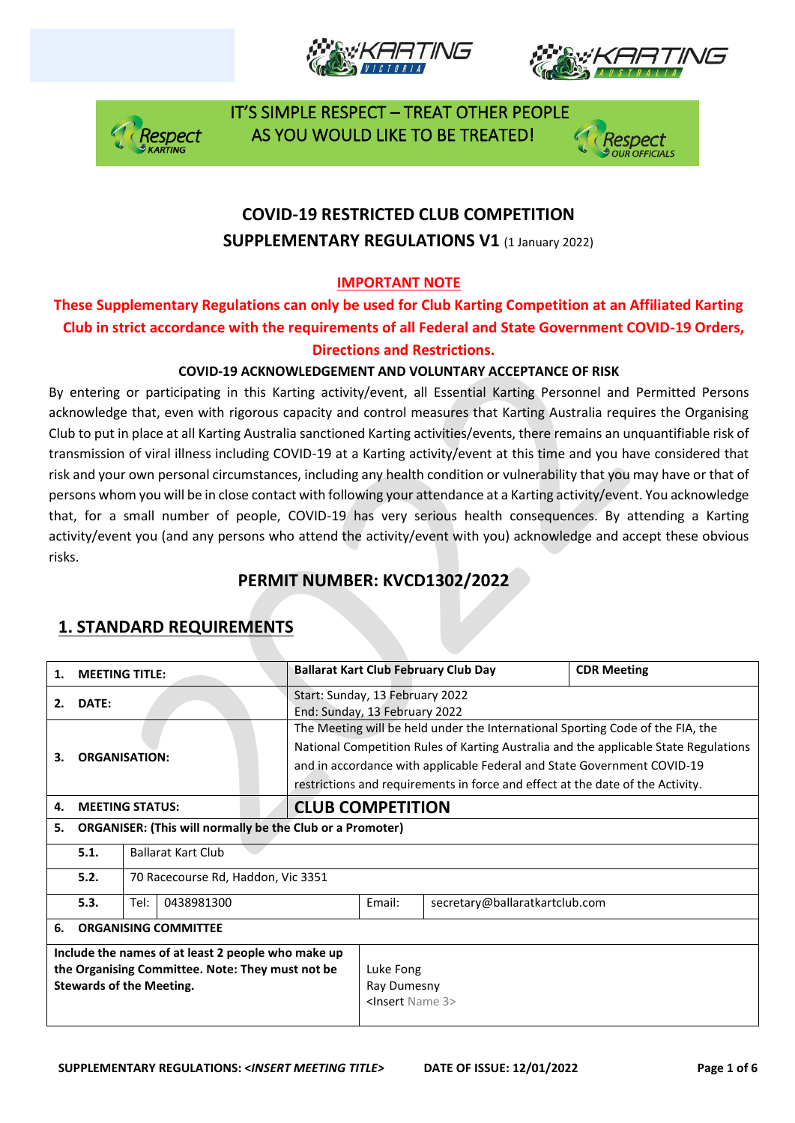







# **COVID-19 RESTRICTED CLUB COMPETITION SUPPLEMENTARY REGULATIONS V1 (1 January 2022)**

#### **IMPORTANT NOTE**

#### **These Supplementary Regulations can only be used for Club Karting Competition at an Affiliated Karting Club in strict accordance with the requirements of all Federal and State Government COVID-19 Orders, Directions and Restrictions.**

#### **COVID-19 ACKNOWLEDGEMENT AND VOLUNTARY ACCEPTANCE OF RISK**

By entering or participating in this Karting activity/event, all Essential Karting Personnel and Permitted Persons acknowledge that, even with rigorous capacity and control measures that Karting Australia requires the Organising Club to put in place at all Karting Australia sanctioned Karting activities/events, there remains an unquantifiable risk of transmission of viral illness including COVID-19 at a Karting activity/event at this time and you have considered that risk and your own personal circumstances, including any health condition or vulnerability that you may have or that of persons whom you will be in close contact with following your attendance at a Karting activity/event. You acknowledge that, for a small number of people, COVID-19 has very serious health consequences. By attending a Karting activity/event you (and any persons who attend the activity/event with you) acknowledge and accept these obvious risks.

### **PERMIT NUMBER: KVCD1302/2022**

| 1.                                                                                                                                        | <b>MEETING TITLE:</b>                                            |                                    |  |                                                                                                                                                                                                                                                                                                                                     |                                                            | <b>Ballarat Kart Club February Club Day</b> | <b>CDR Meeting</b> |  |
|-------------------------------------------------------------------------------------------------------------------------------------------|------------------------------------------------------------------|------------------------------------|--|-------------------------------------------------------------------------------------------------------------------------------------------------------------------------------------------------------------------------------------------------------------------------------------------------------------------------------------|------------------------------------------------------------|---------------------------------------------|--------------------|--|
| 2.                                                                                                                                        | DATE:                                                            |                                    |  | Start: Sunday, 13 February 2022<br>End: Sunday, 13 February 2022                                                                                                                                                                                                                                                                    |                                                            |                                             |                    |  |
| З.                                                                                                                                        | <b>ORGANISATION:</b>                                             |                                    |  | The Meeting will be held under the International Sporting Code of the FIA, the<br>National Competition Rules of Karting Australia and the applicable State Regulations<br>and in accordance with applicable Federal and State Government COVID-19<br>restrictions and requirements in force and effect at the date of the Activity. |                                                            |                                             |                    |  |
| 4.                                                                                                                                        | <b>MEETING STATUS:</b>                                           |                                    |  | <b>CLUB COMPETITION</b>                                                                                                                                                                                                                                                                                                             |                                                            |                                             |                    |  |
| 5.                                                                                                                                        | <b>ORGANISER: (This will normally be the Club or a Promoter)</b> |                                    |  |                                                                                                                                                                                                                                                                                                                                     |                                                            |                                             |                    |  |
|                                                                                                                                           | 5.1.                                                             | <b>Ballarat Kart Club</b>          |  |                                                                                                                                                                                                                                                                                                                                     |                                                            |                                             |                    |  |
|                                                                                                                                           | 5.2.                                                             | 70 Racecourse Rd, Haddon, Vic 3351 |  |                                                                                                                                                                                                                                                                                                                                     |                                                            |                                             |                    |  |
|                                                                                                                                           | 5.3.                                                             | Tel:<br>0438981300                 |  |                                                                                                                                                                                                                                                                                                                                     | Fmail:                                                     | secretary@ballaratkartclub.com              |                    |  |
| 6.                                                                                                                                        | <b>ORGANISING COMMITTEE</b>                                      |                                    |  |                                                                                                                                                                                                                                                                                                                                     |                                                            |                                             |                    |  |
| Include the names of at least 2 people who make up<br>the Organising Committee. Note: They must not be<br><b>Stewards of the Meeting.</b> |                                                                  |                                    |  |                                                                                                                                                                                                                                                                                                                                     | Luke Fong<br>Ray Dumesny<br><lnsert 3="" name=""></lnsert> |                                             |                    |  |

# **1. STANDARD REQUIREMENTS**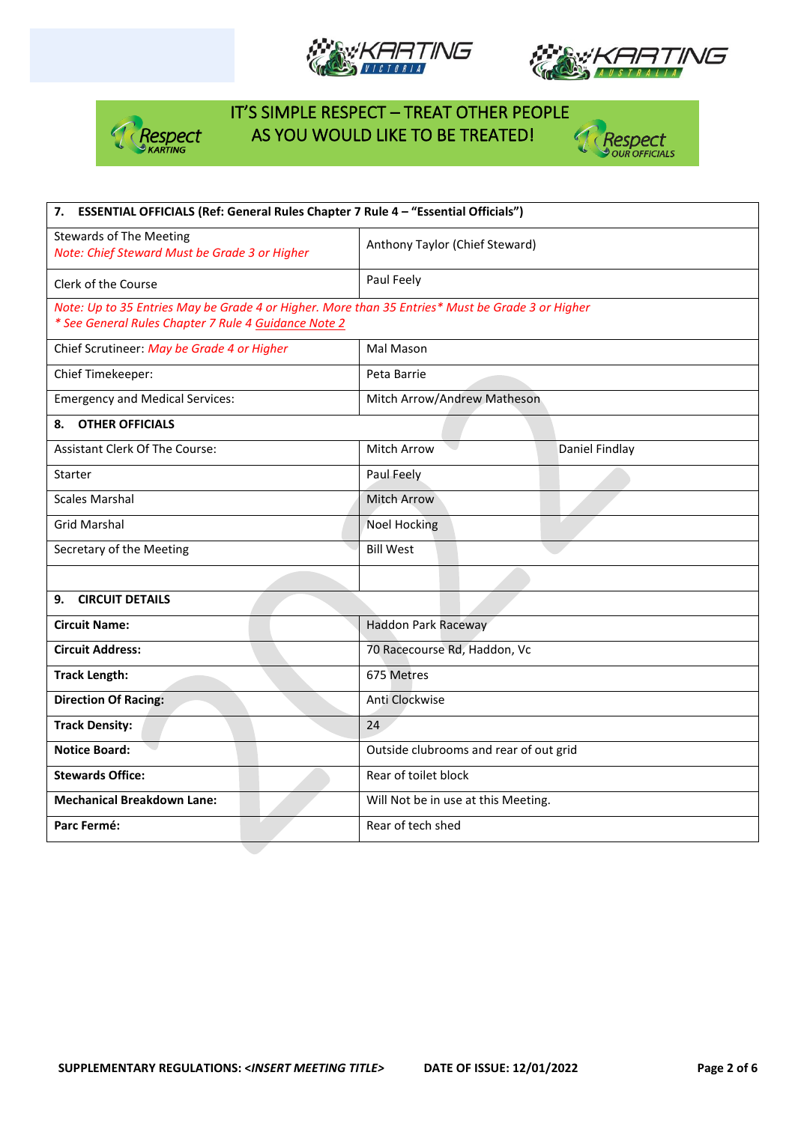







| ESSENTIAL OFFICIALS (Ref: General Rules Chapter 7 Rule 4 - "Essential Officials")<br>7.          |                                        |                |  |  |  |  |
|--------------------------------------------------------------------------------------------------|----------------------------------------|----------------|--|--|--|--|
| <b>Stewards of The Meeting</b><br>Note: Chief Steward Must be Grade 3 or Higher                  | Anthony Taylor (Chief Steward)         |                |  |  |  |  |
| Clerk of the Course                                                                              | Paul Feely                             |                |  |  |  |  |
| Note: Up to 35 Entries May be Grade 4 or Higher. More than 35 Entries* Must be Grade 3 or Higher |                                        |                |  |  |  |  |
| * See General Rules Chapter 7 Rule 4 Guidance Note 2                                             |                                        |                |  |  |  |  |
| Chief Scrutineer: May be Grade 4 or Higher                                                       | Mal Mason                              |                |  |  |  |  |
| Chief Timekeeper:                                                                                | Peta Barrie                            |                |  |  |  |  |
| <b>Emergency and Medical Services:</b>                                                           | Mitch Arrow/Andrew Matheson            |                |  |  |  |  |
| 8. OTHER OFFICIALS                                                                               |                                        |                |  |  |  |  |
| <b>Assistant Clerk Of The Course:</b>                                                            | <b>Mitch Arrow</b>                     | Daniel Findlay |  |  |  |  |
| Starter                                                                                          | Paul Feely                             |                |  |  |  |  |
| <b>Scales Marshal</b>                                                                            | <b>Mitch Arrow</b>                     |                |  |  |  |  |
| <b>Grid Marshal</b>                                                                              | <b>Noel Hocking</b>                    |                |  |  |  |  |
| Secretary of the Meeting                                                                         | <b>Bill West</b>                       |                |  |  |  |  |
|                                                                                                  |                                        |                |  |  |  |  |
| <b>CIRCUIT DETAILS</b><br>9.                                                                     |                                        |                |  |  |  |  |
| <b>Circuit Name:</b>                                                                             | <b>Haddon Park Raceway</b>             |                |  |  |  |  |
| <b>Circuit Address:</b>                                                                          | 70 Racecourse Rd, Haddon, Vc           |                |  |  |  |  |
| <b>Track Length:</b>                                                                             | 675 Metres                             |                |  |  |  |  |
| <b>Direction Of Racing:</b>                                                                      | Anti Clockwise                         |                |  |  |  |  |
| <b>Track Density:</b>                                                                            | 24                                     |                |  |  |  |  |
| <b>Notice Board:</b>                                                                             | Outside clubrooms and rear of out grid |                |  |  |  |  |
| <b>Stewards Office:</b>                                                                          | Rear of toilet block                   |                |  |  |  |  |
| <b>Mechanical Breakdown Lane:</b>                                                                | Will Not be in use at this Meeting.    |                |  |  |  |  |
| Parc Fermé:                                                                                      | Rear of tech shed                      |                |  |  |  |  |
|                                                                                                  |                                        |                |  |  |  |  |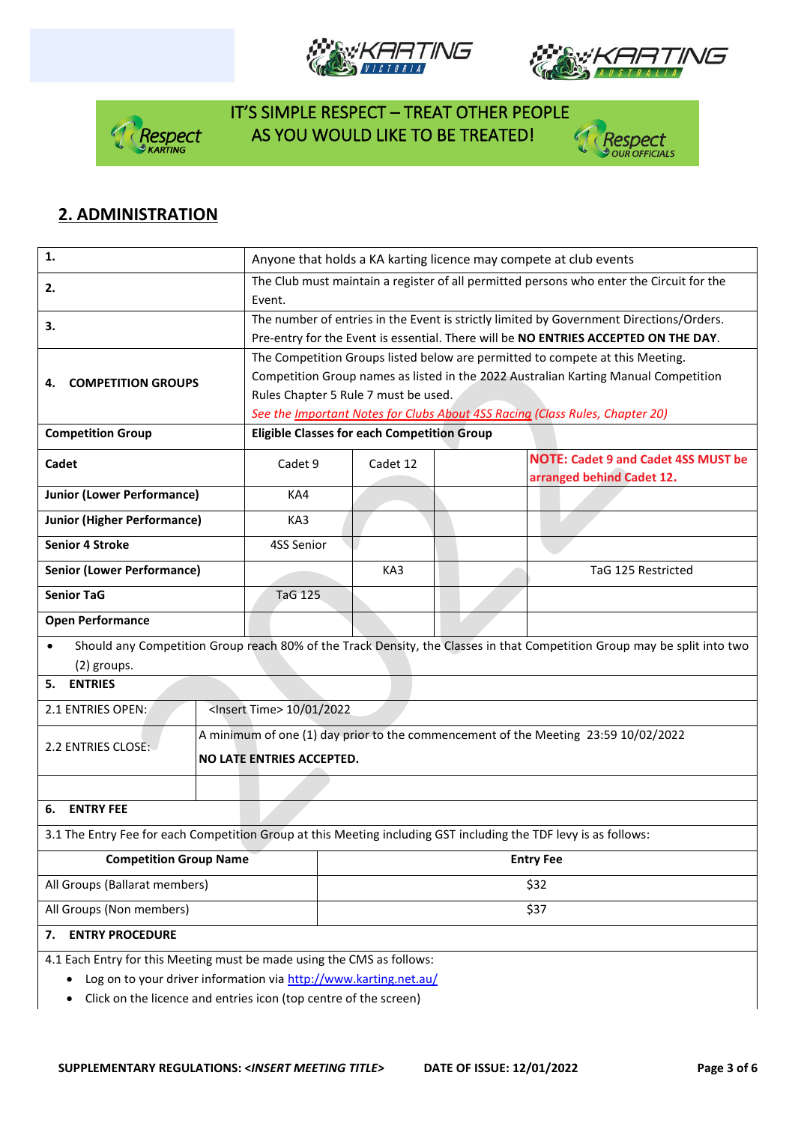







# **2. ADMINISTRATION**

| 1.                                                                                                               |                                                                                                                                            | Anyone that holds a KA karting licence may compete at club events                                                                                                                                                                                                                            |                  |  |                                                                                                                          |  |  |
|------------------------------------------------------------------------------------------------------------------|--------------------------------------------------------------------------------------------------------------------------------------------|----------------------------------------------------------------------------------------------------------------------------------------------------------------------------------------------------------------------------------------------------------------------------------------------|------------------|--|--------------------------------------------------------------------------------------------------------------------------|--|--|
| 2.                                                                                                               | Event.                                                                                                                                     | The Club must maintain a register of all permitted persons who enter the Circuit for the                                                                                                                                                                                                     |                  |  |                                                                                                                          |  |  |
| 3.                                                                                                               |                                                                                                                                            | The number of entries in the Event is strictly limited by Government Directions/Orders.<br>Pre-entry for the Event is essential. There will be NO ENTRIES ACCEPTED ON THE DAY.                                                                                                               |                  |  |                                                                                                                          |  |  |
| <b>COMPETITION GROUPS</b><br>4.                                                                                  |                                                                                                                                            | The Competition Groups listed below are permitted to compete at this Meeting.<br>Competition Group names as listed in the 2022 Australian Karting Manual Competition<br>Rules Chapter 5 Rule 7 must be used.<br>See the Important Notes for Clubs About 4SS Racing (Class Rules, Chapter 20) |                  |  |                                                                                                                          |  |  |
| <b>Competition Group</b>                                                                                         |                                                                                                                                            | <b>Eligible Classes for each Competition Group</b>                                                                                                                                                                                                                                           |                  |  |                                                                                                                          |  |  |
| Cadet                                                                                                            | Cadet 9                                                                                                                                    |                                                                                                                                                                                                                                                                                              | Cadet 12         |  | <b>NOTE: Cadet 9 and Cadet 4SS MUST be</b><br>arranged behind Cadet 12.                                                  |  |  |
| <b>Junior (Lower Performance)</b>                                                                                | KA4                                                                                                                                        |                                                                                                                                                                                                                                                                                              |                  |  |                                                                                                                          |  |  |
| <b>Junior (Higher Performance)</b>                                                                               | KA3                                                                                                                                        |                                                                                                                                                                                                                                                                                              |                  |  |                                                                                                                          |  |  |
| <b>Senior 4 Stroke</b>                                                                                           | 4SS Senior                                                                                                                                 |                                                                                                                                                                                                                                                                                              |                  |  |                                                                                                                          |  |  |
| <b>Senior (Lower Performance)</b>                                                                                |                                                                                                                                            |                                                                                                                                                                                                                                                                                              | KA3              |  | TaG 125 Restricted                                                                                                       |  |  |
| <b>Senior TaG</b>                                                                                                | <b>TaG 125</b>                                                                                                                             |                                                                                                                                                                                                                                                                                              |                  |  |                                                                                                                          |  |  |
| <b>Open Performance</b>                                                                                          |                                                                                                                                            |                                                                                                                                                                                                                                                                                              |                  |  |                                                                                                                          |  |  |
| $\bullet$<br>(2) groups.                                                                                         |                                                                                                                                            |                                                                                                                                                                                                                                                                                              |                  |  | Should any Competition Group reach 80% of the Track Density, the Classes in that Competition Group may be split into two |  |  |
| <b>ENTRIES</b><br>5.                                                                                             |                                                                                                                                            |                                                                                                                                                                                                                                                                                              |                  |  |                                                                                                                          |  |  |
| 2.1 ENTRIES OPEN:                                                                                                | <lnsert time=""> 10/01/2022</lnsert>                                                                                                       |                                                                                                                                                                                                                                                                                              |                  |  |                                                                                                                          |  |  |
| 2.2 ENTRIES CLOSE:                                                                                               |                                                                                                                                            | A minimum of one (1) day prior to the commencement of the Meeting 23:59 10/02/2022<br>NO LATE ENTRIES ACCEPTED.                                                                                                                                                                              |                  |  |                                                                                                                          |  |  |
|                                                                                                                  |                                                                                                                                            |                                                                                                                                                                                                                                                                                              |                  |  |                                                                                                                          |  |  |
| <b>ENTRY FEE</b><br>6.                                                                                           |                                                                                                                                            |                                                                                                                                                                                                                                                                                              |                  |  |                                                                                                                          |  |  |
| 3.1 The Entry Fee for each Competition Group at this Meeting including GST including the TDF levy is as follows: |                                                                                                                                            |                                                                                                                                                                                                                                                                                              |                  |  |                                                                                                                          |  |  |
| <b>Competition Group Name</b>                                                                                    |                                                                                                                                            |                                                                                                                                                                                                                                                                                              | <b>Entry Fee</b> |  |                                                                                                                          |  |  |
| All Groups (Ballarat members)                                                                                    |                                                                                                                                            | \$32                                                                                                                                                                                                                                                                                         |                  |  |                                                                                                                          |  |  |
| All Groups (Non members)                                                                                         |                                                                                                                                            | \$37                                                                                                                                                                                                                                                                                         |                  |  |                                                                                                                          |  |  |
| <b>ENTRY PROCEDURE</b><br>7.                                                                                     |                                                                                                                                            |                                                                                                                                                                                                                                                                                              |                  |  |                                                                                                                          |  |  |
| $\bullet$                                                                                                        | 4.1 Each Entry for this Meeting must be made using the CMS as follows:<br>Log on to your driver information via http://www.karting.net.au/ |                                                                                                                                                                                                                                                                                              |                  |  |                                                                                                                          |  |  |

• Click on the licence and entries icon (top centre of the screen)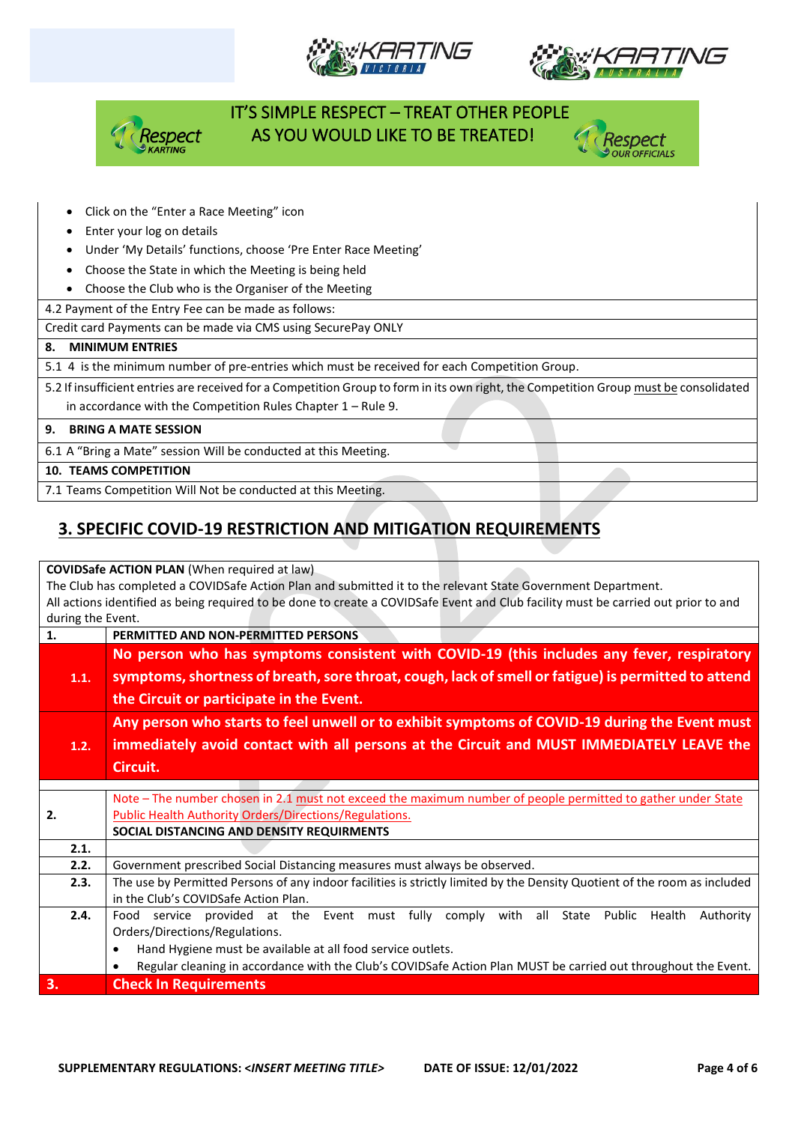







- Click on the "Enter a Race Meeting" icon
- Enter your log on details
- Under 'My Details' functions, choose 'Pre Enter Race Meeting'
- Choose the State in which the Meeting is being held
- Choose the Club who is the Organiser of the Meeting

4.2 Payment of the Entry Fee can be made as follows:

Credit card Payments can be made via CMS using SecurePay ONLY

#### **8. MINIMUM ENTRIES**

5.1 4 is the minimum number of pre-entries which must be received for each Competition Group.

5.2 If insufficient entries are received for a Competition Group to form in its own right, the Competition Group must be consolidated

in accordance with the Competition Rules Chapter 1 – Rule 9.

#### **9. BRING A MATE SESSION**

6.1 A "Bring a Mate" session Will be conducted at this Meeting.

**10. TEAMS COMPETITION**

7.1 Teams Competition Will Not be conducted at this Meeting.

# **3. SPECIFIC COVID-19 RESTRICTION AND MITIGATION REQUIREMENTS**

**COVIDSafe ACTION PLAN** (When required at law)

The Club has completed a COVIDSafe Action Plan and submitted it to the relevant State Government Department. All actions identified as being required to be done to create a COVIDSafe Event and Club facility must be carried out prior to and during the Event.

| 1.   | PERMITTED AND NON-PERMITTED PERSONS                                                                                                                                    |  |  |  |  |  |
|------|------------------------------------------------------------------------------------------------------------------------------------------------------------------------|--|--|--|--|--|
|      | No person who has symptoms consistent with COVID-19 (this includes any fever, respiratory                                                                              |  |  |  |  |  |
| 1.1. | symptoms, shortness of breath, sore throat, cough, lack of smell or fatigue) is permitted to attend                                                                    |  |  |  |  |  |
|      | the Circuit or participate in the Event.                                                                                                                               |  |  |  |  |  |
|      | Any person who starts to feel unwell or to exhibit symptoms of COVID-19 during the Event must                                                                          |  |  |  |  |  |
| 1.2. | immediately avoid contact with all persons at the Circuit and MUST IMMEDIATELY LEAVE the                                                                               |  |  |  |  |  |
|      | Circuit.                                                                                                                                                               |  |  |  |  |  |
|      |                                                                                                                                                                        |  |  |  |  |  |
|      | Note – The number chosen in 2.1 must not exceed the maximum number of people permitted to gather under State<br>Public Health Authority Orders/Directions/Regulations. |  |  |  |  |  |
| 2.   |                                                                                                                                                                        |  |  |  |  |  |
|      | SOCIAL DISTANCING AND DENSITY REQUIRMENTS                                                                                                                              |  |  |  |  |  |
| 2.1. |                                                                                                                                                                        |  |  |  |  |  |
| 2.2. | Government prescribed Social Distancing measures must always be observed.                                                                                              |  |  |  |  |  |
| 2.3. | The use by Permitted Persons of any indoor facilities is strictly limited by the Density Quotient of the room as included                                              |  |  |  |  |  |
|      | in the Club's COVIDSafe Action Plan.                                                                                                                                   |  |  |  |  |  |
| 2.4. | service provided at the Event must fully comply with all State Public<br>Health<br>Authority<br>Food                                                                   |  |  |  |  |  |
|      | Orders/Directions/Regulations.                                                                                                                                         |  |  |  |  |  |
|      | Hand Hygiene must be available at all food service outlets.<br>$\bullet$                                                                                               |  |  |  |  |  |
|      | Regular cleaning in accordance with the Club's COVIDSafe Action Plan MUST be carried out throughout the Event.                                                         |  |  |  |  |  |
| 3.   | <b>Check In Requirements</b>                                                                                                                                           |  |  |  |  |  |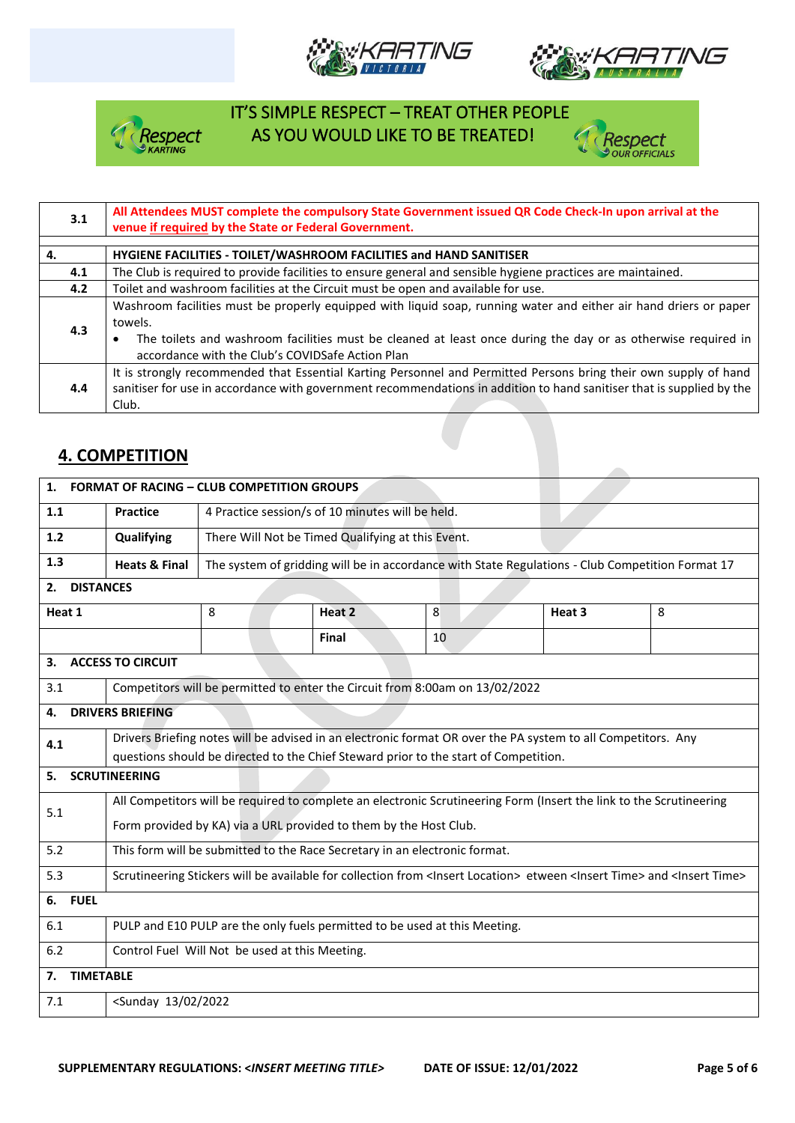







| 3.1 | All Attendees MUST complete the compulsory State Government issued QR Code Check-In upon arrival at the<br>venue if required by the State or Federal Government.                                                                                                                                 |  |  |  |  |  |
|-----|--------------------------------------------------------------------------------------------------------------------------------------------------------------------------------------------------------------------------------------------------------------------------------------------------|--|--|--|--|--|
| 4.  | HYGIENE FACILITIES - TOILET/WASHROOM FACILITIES and HAND SANITISER                                                                                                                                                                                                                               |  |  |  |  |  |
| 4.1 | The Club is required to provide facilities to ensure general and sensible hygiene practices are maintained.                                                                                                                                                                                      |  |  |  |  |  |
| 4.2 | Toilet and washroom facilities at the Circuit must be open and available for use.                                                                                                                                                                                                                |  |  |  |  |  |
| 4.3 | Washroom facilities must be properly equipped with liquid soap, running water and either air hand driers or paper<br>towels.<br>The toilets and washroom facilities must be cleaned at least once during the day or as otherwise required in<br>accordance with the Club's COVIDSafe Action Plan |  |  |  |  |  |
| 4.4 | It is strongly recommended that Essential Karting Personnel and Permitted Persons bring their own supply of hand<br>sanitiser for use in accordance with government recommendations in addition to hand sanitiser that is supplied by the<br>Club.                                               |  |  |  |  |  |

#### **4. COMPETITION**

| 1. FORMAT OF RACING - CLUB COMPETITION GROUPS |                                                                                                                                                           |                                                  |                                                                                                  |    |  |        |   |  |
|-----------------------------------------------|-----------------------------------------------------------------------------------------------------------------------------------------------------------|--------------------------------------------------|--------------------------------------------------------------------------------------------------|----|--|--------|---|--|
| 1.1                                           | <b>Practice</b>                                                                                                                                           | 4 Practice session/s of 10 minutes will be held. |                                                                                                  |    |  |        |   |  |
| 1.2                                           | There Will Not be Timed Qualifying at this Event.<br>Qualifying                                                                                           |                                                  |                                                                                                  |    |  |        |   |  |
| 1.3                                           | <b>Heats &amp; Final</b>                                                                                                                                  |                                                  | The system of gridding will be in accordance with State Regulations - Club Competition Format 17 |    |  |        |   |  |
| <b>DISTANCES</b><br>2.                        |                                                                                                                                                           |                                                  |                                                                                                  |    |  |        |   |  |
| Heat 1                                        |                                                                                                                                                           | 8                                                | Heat 2                                                                                           | 8  |  | Heat 3 | 8 |  |
|                                               |                                                                                                                                                           |                                                  | Final                                                                                            | 10 |  |        |   |  |
| З.                                            | <b>ACCESS TO CIRCUIT</b>                                                                                                                                  |                                                  |                                                                                                  |    |  |        |   |  |
| 3.1                                           |                                                                                                                                                           |                                                  | Competitors will be permitted to enter the Circuit from 8:00am on 13/02/2022                     |    |  |        |   |  |
| 4.                                            | <b>DRIVERS BRIEFING</b>                                                                                                                                   |                                                  |                                                                                                  |    |  |        |   |  |
| 4.1                                           | Drivers Briefing notes will be advised in an electronic format OR over the PA system to all Competitors. Any                                              |                                                  |                                                                                                  |    |  |        |   |  |
|                                               | questions should be directed to the Chief Steward prior to the start of Competition.                                                                      |                                                  |                                                                                                  |    |  |        |   |  |
| <b>SCRUTINEERING</b><br>5.                    |                                                                                                                                                           |                                                  |                                                                                                  |    |  |        |   |  |
| 5.1                                           | All Competitors will be required to complete an electronic Scrutineering Form (Insert the link to the Scrutineering                                       |                                                  |                                                                                                  |    |  |        |   |  |
|                                               | Form provided by KA) via a URL provided to them by the Host Club.                                                                                         |                                                  |                                                                                                  |    |  |        |   |  |
| 5.2                                           | This form will be submitted to the Race Secretary in an electronic format.                                                                                |                                                  |                                                                                                  |    |  |        |   |  |
| 5.3                                           | Scrutineering Stickers will be available for collection from <insert location=""> etween <insert time=""> and <insert time=""></insert></insert></insert> |                                                  |                                                                                                  |    |  |        |   |  |
| 6. FUEL                                       |                                                                                                                                                           |                                                  |                                                                                                  |    |  |        |   |  |
| 6.1                                           | PULP and E10 PULP are the only fuels permitted to be used at this Meeting.                                                                                |                                                  |                                                                                                  |    |  |        |   |  |
| 6.2                                           | Control Fuel Will Not be used at this Meeting.                                                                                                            |                                                  |                                                                                                  |    |  |        |   |  |
| 7.                                            | <b>TIMETABLE</b>                                                                                                                                          |                                                  |                                                                                                  |    |  |        |   |  |
| 7.1                                           | <sunday 02="" 13="" 2022<="" th=""></sunday>                                                                                                              |                                                  |                                                                                                  |    |  |        |   |  |